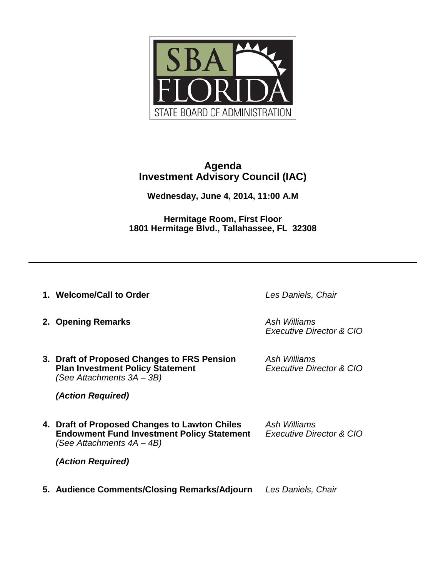

# **Agenda Investment Advisory Council (IAC)**

**Wednesday, June 4, 2014, 11:00 A.M** 

**Hermitage Room, First Floor 1801 Hermitage Blvd., Tallahassee, FL 32308**

**1. Welcome/Call to Order** *Les Daniels, Chair*

**2. Opening Remarks** *Ash Williams* 

*Executive Director & CIO*

**3. Draft of Proposed Changes to FRS Pension** *Ash Williams* **Plan Investment Policy Statement** *(See Attachments 3A – 3B)*

*(Action Required)*

**4. Draft of Proposed Changes to Lawton Chiles** *Ash Williams* **Endowment Fund Investment Policy Statement** *(See Attachments 4A – 4B)*

*(Action Required)*

**5. Audience Comments/Closing Remarks/Adjourn** *Les Daniels, Chair*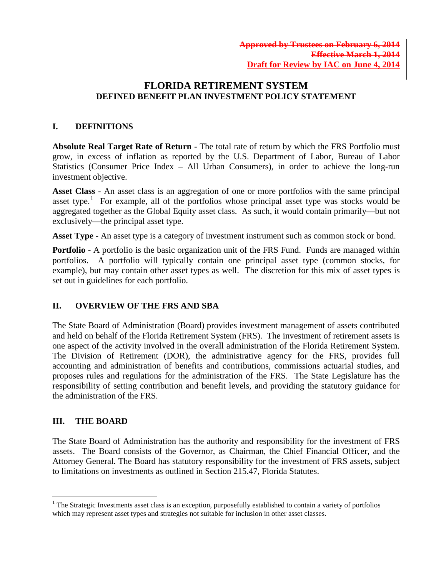## **FLORIDA RETIREMENT SYSTEM DEFINED BENEFIT PLAN INVESTMENT POLICY STATEMENT**

### **I. DEFINITIONS**

**Absolute Real Target Rate of Return** - The total rate of return by which the FRS Portfolio must grow, in excess of inflation as reported by the U.S. Department of Labor, Bureau of Labor Statistics (Consumer Price Index – All Urban Consumers), in order to achieve the long-run investment objective.

**Asset Class** - An asset class is an aggregation of one or more portfolios with the same principal asset type.<sup>[1](#page-1-0)</sup> For example, all of the portfolios whose principal asset type was stocks would be aggregated together as the Global Equity asset class. As such, it would contain primarily—but not exclusively—the principal asset type.

**Asset Type** - An asset type is a category of investment instrument such as common stock or bond.

**Portfolio** - A portfolio is the basic organization unit of the FRS Fund. Funds are managed within portfolios. A portfolio will typically contain one principal asset type (common stocks, for example), but may contain other asset types as well. The discretion for this mix of asset types is set out in guidelines for each portfolio.

### **II. OVERVIEW OF THE FRS AND SBA**

The State Board of Administration (Board) provides investment management of assets contributed and held on behalf of the Florida Retirement System (FRS). The investment of retirement assets is one aspect of the activity involved in the overall administration of the Florida Retirement System. The Division of Retirement (DOR), the administrative agency for the FRS, provides full accounting and administration of benefits and contributions, commissions actuarial studies, and proposes rules and regulations for the administration of the FRS. The State Legislature has the responsibility of setting contribution and benefit levels, and providing the statutory guidance for the administration of the FRS.

### **III. THE BOARD**

The State Board of Administration has the authority and responsibility for the investment of FRS assets. The Board consists of the Governor, as Chairman, the Chief Financial Officer, and the Attorney General. The Board has statutory responsibility for the investment of FRS assets, subject to limitations on investments as outlined in Section 215.47, Florida Statutes.

<span id="page-1-0"></span> $1$ <sup>1</sup> The Strategic Investments asset class is an exception, purposefully established to contain a variety of portfolios which may represent asset types and strategies not suitable for inclusion in other asset classes.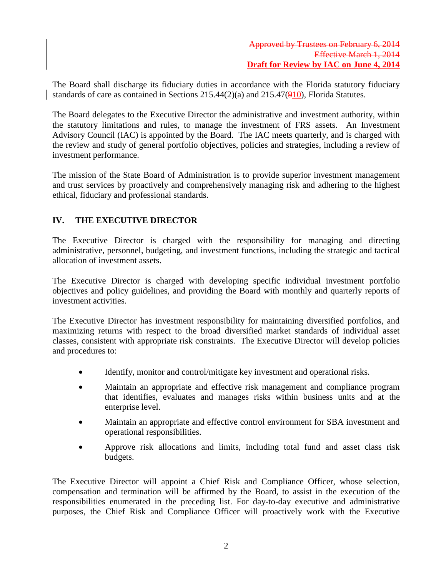The Board shall discharge its fiduciary duties in accordance with the Florida statutory fiduciary standards of care as contained in Sections 215.44(2)(a) and 215.47(910), Florida Statutes.

The Board delegates to the Executive Director the administrative and investment authority, within the statutory limitations and rules, to manage the investment of FRS assets. An Investment Advisory Council (IAC) is appointed by the Board. The IAC meets quarterly, and is charged with the review and study of general portfolio objectives, policies and strategies, including a review of investment performance.

The mission of the State Board of Administration is to provide superior investment management and trust services by proactively and comprehensively managing risk and adhering to the highest ethical, fiduciary and professional standards.

## **IV. THE EXECUTIVE DIRECTOR**

The Executive Director is charged with the responsibility for managing and directing administrative, personnel, budgeting, and investment functions, including the strategic and tactical allocation of investment assets.

The Executive Director is charged with developing specific individual investment portfolio objectives and policy guidelines, and providing the Board with monthly and quarterly reports of investment activities.

The Executive Director has investment responsibility for maintaining diversified portfolios, and maximizing returns with respect to the broad diversified market standards of individual asset classes, consistent with appropriate risk constraints. The Executive Director will develop policies and procedures to:

- Identify, monitor and control/mitigate key investment and operational risks.
- Maintain an appropriate and effective risk management and compliance program that identifies, evaluates and manages risks within business units and at the enterprise level.
- Maintain an appropriate and effective control environment for SBA investment and operational responsibilities.
- Approve risk allocations and limits, including total fund and asset class risk budgets.

The Executive Director will appoint a Chief Risk and Compliance Officer, whose selection, compensation and termination will be affirmed by the Board, to assist in the execution of the responsibilities enumerated in the preceding list. For day-to-day executive and administrative purposes, the Chief Risk and Compliance Officer will proactively work with the Executive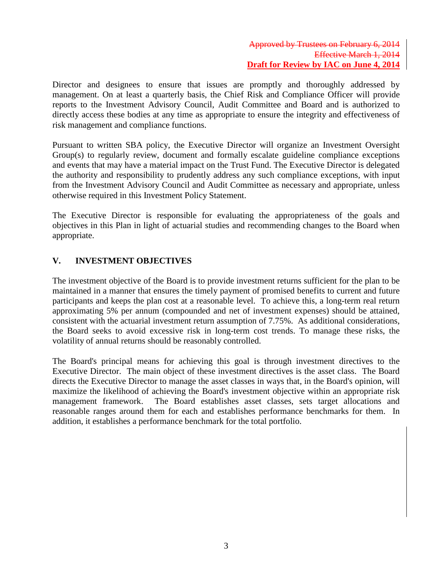Director and designees to ensure that issues are promptly and thoroughly addressed by management. On at least a quarterly basis, the Chief Risk and Compliance Officer will provide reports to the Investment Advisory Council, Audit Committee and Board and is authorized to directly access these bodies at any time as appropriate to ensure the integrity and effectiveness of risk management and compliance functions.

Pursuant to written SBA policy, the Executive Director will organize an Investment Oversight Group(s) to regularly review, document and formally escalate guideline compliance exceptions and events that may have a material impact on the Trust Fund. The Executive Director is delegated the authority and responsibility to prudently address any such compliance exceptions, with input from the Investment Advisory Council and Audit Committee as necessary and appropriate, unless otherwise required in this Investment Policy Statement.

The Executive Director is responsible for evaluating the appropriateness of the goals and objectives in this Plan in light of actuarial studies and recommending changes to the Board when appropriate.

## **V. INVESTMENT OBJECTIVES**

The investment objective of the Board is to provide investment returns sufficient for the plan to be maintained in a manner that ensures the timely payment of promised benefits to current and future participants and keeps the plan cost at a reasonable level. To achieve this, a long-term real return approximating 5% per annum (compounded and net of investment expenses) should be attained, consistent with the actuarial investment return assumption of 7.75%. As additional considerations, the Board seeks to avoid excessive risk in long-term cost trends. To manage these risks, the volatility of annual returns should be reasonably controlled.

The Board's principal means for achieving this goal is through investment directives to the Executive Director. The main object of these investment directives is the asset class. The Board directs the Executive Director to manage the asset classes in ways that, in the Board's opinion, will maximize the likelihood of achieving the Board's investment objective within an appropriate risk management framework. The Board establishes asset classes, sets target allocations and reasonable ranges around them for each and establishes performance benchmarks for them. In addition, it establishes a performance benchmark for the total portfolio.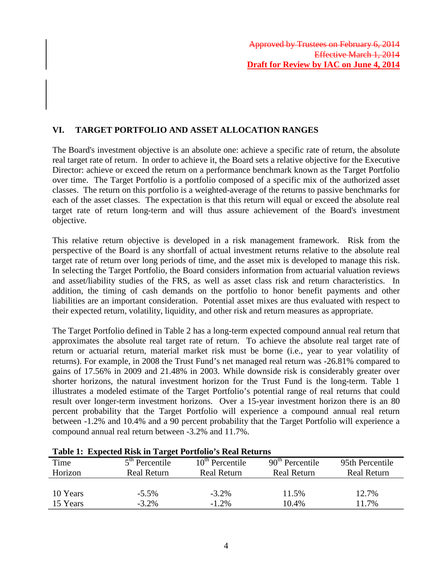## **VI. TARGET PORTFOLIO AND ASSET ALLOCATION RANGES**

The Board's investment objective is an absolute one: achieve a specific rate of return, the absolute real target rate of return. In order to achieve it, the Board sets a relative objective for the Executive Director: achieve or exceed the return on a performance benchmark known as the Target Portfolio over time. The Target Portfolio is a portfolio composed of a specific mix of the authorized asset classes. The return on this portfolio is a weighted-average of the returns to passive benchmarks for each of the asset classes. The expectation is that this return will equal or exceed the absolute real target rate of return long-term and will thus assure achievement of the Board's investment objective.

This relative return objective is developed in a risk management framework. Risk from the perspective of the Board is any shortfall of actual investment returns relative to the absolute real target rate of return over long periods of time, and the asset mix is developed to manage this risk. In selecting the Target Portfolio, the Board considers information from actuarial valuation reviews and asset/liability studies of the FRS, as well as asset class risk and return characteristics. In addition, the timing of cash demands on the portfolio to honor benefit payments and other liabilities are an important consideration. Potential asset mixes are thus evaluated with respect to their expected return, volatility, liquidity, and other risk and return measures as appropriate.

The Target Portfolio defined in Table 2 has a long-term expected compound annual real return that approximates the absolute real target rate of return. To achieve the absolute real target rate of return or actuarial return, material market risk must be borne (i.e., year to year volatility of returns). For example, in 2008 the Trust Fund's net managed real return was -26.81% compared to gains of 17.56% in 2009 and 21.48% in 2003. While downside risk is considerably greater over shorter horizons, the natural investment horizon for the Trust Fund is the long-term. Table 1 illustrates a modeled estimate of the Target Portfolio's potential range of real returns that could result over longer-term investment horizons. Over a 15-year investment horizon there is an 80 percent probability that the Target Portfolio will experience a compound annual real return between -1.2% and 10.4% and a 90 percent probability that the Target Portfolio will experience a compound annual real return between -3.2% and 11.7%.

| Table 1, Expected Ribk in Target I british 5 Real Retarns |                    |                             |                    |                    |  |
|-----------------------------------------------------------|--------------------|-----------------------------|--------------------|--------------------|--|
| Time                                                      | $5th$ Percentile   | 10 <sup>th</sup> Percentile | $90th$ Percentile  | 95th Percentile    |  |
| Horizon                                                   | <b>Real Return</b> | <b>Real Return</b>          | <b>Real Return</b> | <b>Real Return</b> |  |
|                                                           |                    |                             |                    |                    |  |
| 10 Years                                                  | $-5.5\%$           | $-3.2\%$                    | 11.5%              | 12.7%              |  |
| 15 Years                                                  | $-3.2\%$           | $-1.2\%$                    | 10.4%              | 11.7%              |  |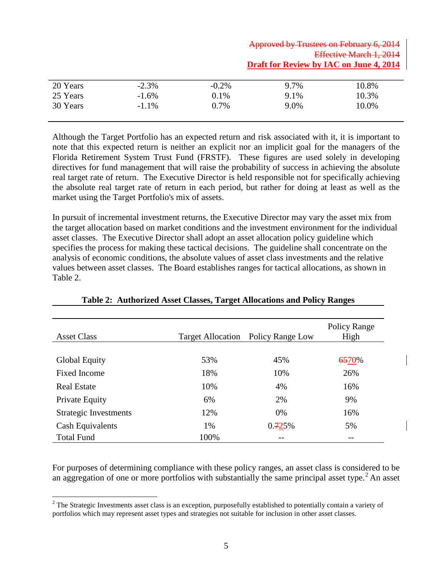|          |          |          | Approved by Trustees on February 6, 2014       |       |  |
|----------|----------|----------|------------------------------------------------|-------|--|
|          |          |          | Effective March 1, 2014                        |       |  |
|          |          |          | <b>Draft for Review by IAC on June 4, 2014</b> |       |  |
|          |          |          |                                                |       |  |
| 20 Years | $-2.3\%$ | $-0.2\%$ | 9.7%                                           | 10.8% |  |
| 25 Years | $-1.6\%$ | 0.1%     | 9.1%                                           | 10.3% |  |
| 30 Years | $-1.1\%$ | 0.7%     | 9.0%                                           | 10.0% |  |
|          |          |          |                                                |       |  |

Although the Target Portfolio has an expected return and risk associated with it, it is important to note that this expected return is neither an explicit nor an implicit goal for the managers of the Florida Retirement System Trust Fund (FRSTF). These figures are used solely in developing directives for fund management that will raise the probability of success in achieving the absolute real target rate of return. The Executive Director is held responsible not for specifically achieving the absolute real target rate of return in each period, but rather for doing at least as well as the market using the Target Portfolio's mix of assets.

In pursuit of incremental investment returns, the Executive Director may vary the asset mix from the target allocation based on market conditions and the investment environment for the individual asset classes. The Executive Director shall adopt an asset allocation policy guideline which specifies the process for making these tactical decisions. The guideline shall concentrate on the analysis of economic conditions, the absolute values of asset class investments and the relative values between asset classes. The Board establishes ranges for tactical allocations, as shown in Table 2.

| <b>Asset Class</b>    | <b>Target Allocation</b> | Policy Range Low | Policy Range<br>High |
|-----------------------|--------------------------|------------------|----------------------|
|                       |                          |                  |                      |
| Global Equity         | 53%                      | 45%              | 6570%                |
| Fixed Income          | 18%                      | 10%              | 26%                  |
| <b>Real Estate</b>    | 10%                      | 4%               | 16%                  |
| Private Equity        | 6%                       | 2%               | 9%                   |
| Strategic Investments | 12%                      | $0\%$            | 16%                  |
| Cash Equivalents      | 1%                       | 0.725%           | 5%                   |
| <b>Total Fund</b>     | 100%                     | --               | --                   |

### **Table 2: Authorized Asset Classes, Target Allocations and Policy Ranges**

For purposes of determining compliance with these policy ranges, an asset class is considered to be an aggregation of one or more portfolios with substantially the same principal asset type.<sup>[2](#page-5-0)</sup> An asset

<span id="page-5-0"></span><sup>&</sup>lt;sup>2</sup> The Strategic Investments asset class is an exception, purposefully established to potentially contain a variety of portfolios which may represent asset types and strategies not suitable for inclusion in other asset classes.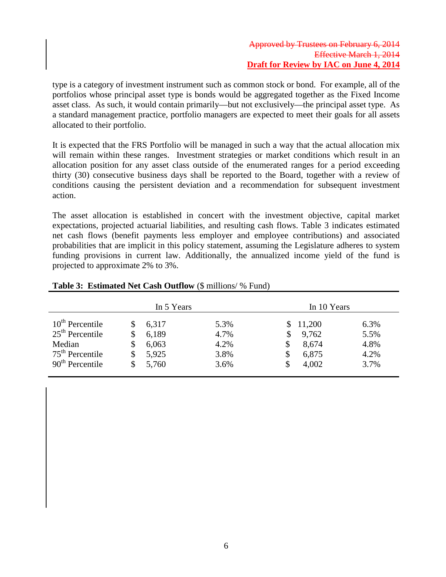### Approved by Trustees on February 6, 2014 Effective March 1, 2014 **Draft for Review by IAC on June 4, 2014**

type is a category of investment instrument such as common stock or bond. For example, all of the portfolios whose principal asset type is bonds would be aggregated together as the Fixed Income asset class. As such, it would contain primarily—but not exclusively—the principal asset type. As a standard management practice, portfolio managers are expected to meet their goals for all assets allocated to their portfolio.

It is expected that the FRS Portfolio will be managed in such a way that the actual allocation mix will remain within these ranges. Investment strategies or market conditions which result in an allocation position for any asset class outside of the enumerated ranges for a period exceeding thirty (30) consecutive business days shall be reported to the Board, together with a review of conditions causing the persistent deviation and a recommendation for subsequent investment action.

The asset allocation is established in concert with the investment objective, capital market expectations, projected actuarial liabilities, and resulting cash flows. Table 3 indicates estimated net cash flows (benefit payments less employer and employee contributions) and associated probabilities that are implicit in this policy statement, assuming the Legislature adheres to system funding provisions in current law. Additionally, the annualized income yield of the fund is projected to approximate 2% to 3%.

|                             | In 5 Years |       | In 10 Years |  |        |      |
|-----------------------------|------------|-------|-------------|--|--------|------|
| $10^{\text{th}}$ Percentile |            | 6,317 | 5.3%        |  | 11,200 | 6.3% |
| $25th$ Percentile           | S          | 6,189 | 4.7%        |  | 9,762  | 5.5% |
| Median                      | S          | 6,063 | 4.2%        |  | 8,674  | 4.8% |
| $75th$ Percentile           | S          | 5,925 | 3.8%        |  | 6,875  | 4.2% |
| $90th$ Percentile           |            | 5,760 | 3.6%        |  | 4,002  | 3.7% |

### **Table 3: Estimated Net Cash Outflow** (\$ millions/ % Fund)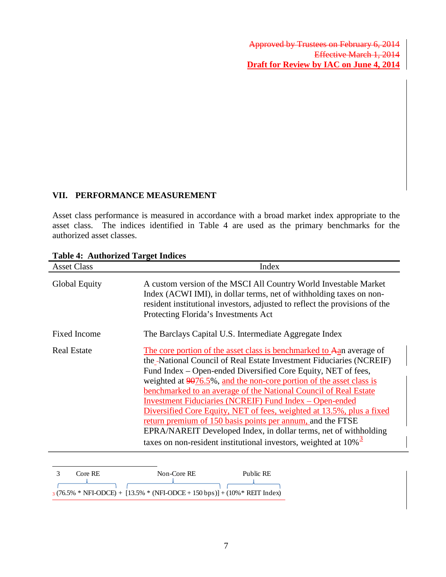### **VII. PERFORMANCE MEASUREMENT**

Asset class performance is measured in accordance with a broad market index appropriate to the asset class. The indices identified in Table 4 are used as the primary benchmarks for the authorized asset classes.

| <b>Asset Class</b>  | Index                                                                                                                                                                                                                                                                                                                                                                                                                                                                                                                                                                                                                                                                                                                   |
|---------------------|-------------------------------------------------------------------------------------------------------------------------------------------------------------------------------------------------------------------------------------------------------------------------------------------------------------------------------------------------------------------------------------------------------------------------------------------------------------------------------------------------------------------------------------------------------------------------------------------------------------------------------------------------------------------------------------------------------------------------|
| Global Equity       | A custom version of the MSCI All Country World Investable Market<br>Index (ACWI IMI), in dollar terms, net of withholding taxes on non-<br>resident institutional investors, adjusted to reflect the provisions of the<br>Protecting Florida's Investments Act                                                                                                                                                                                                                                                                                                                                                                                                                                                          |
| <b>Fixed Income</b> | The Barclays Capital U.S. Intermediate Aggregate Index                                                                                                                                                                                                                                                                                                                                                                                                                                                                                                                                                                                                                                                                  |
| <b>Real Estate</b>  | The core portion of the asset class is benchmarked to Aan average of<br>the -National Council of Real Estate Investment Fiduciaries (NCREIF)<br>Fund Index – Open-ended Diversified Core Equity, NET of fees,<br>weighted at 9076.5%, and the non-core portion of the asset class is<br>benchmarked to an average of the National Council of Real Estate<br><b>Investment Fiduciaries (NCREIF) Fund Index - Open-ended</b><br>Diversified Core Equity, NET of fees, weighted at 13.5%, plus a fixed<br>return premium of 150 basis points per annum, and the FTSE<br>EPRA/NAREIT Developed Index, in dollar terms, net of withholding<br>taxes on non-resident institutional investors, weighted at $10\%$ <sup>3</sup> |

### **Table 4: Authorized Target Indices**

<span id="page-7-0"></span>

| Core RE | Non-Core RE                                                                    | Public RE |
|---------|--------------------------------------------------------------------------------|-----------|
|         |                                                                                |           |
|         | $3(76.5\% * NFI-ODCE) + [13.5\% * (NFI-ODCE + 150 bps)] + (10\% * REIT Index)$ |           |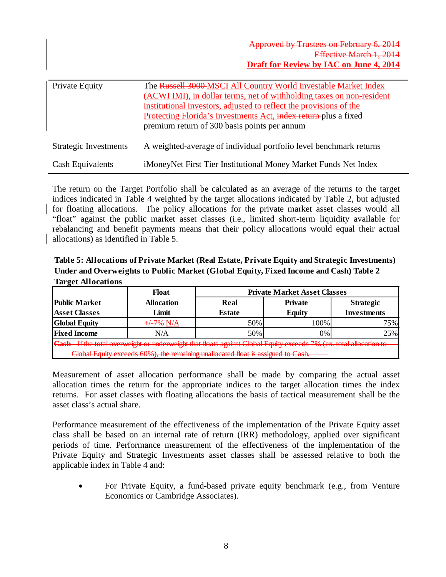| <b>Private Equity</b> | The Russell 3000-MSCI All Country World Investable Market Index<br>(ACWI IMI), in dollar terms, net of withholding taxes on non-resident<br>institutional investors, adjusted to reflect the provisions of the<br>Protecting Florida's Investments Act, index return plus a fixed<br>premium return of 300 basis points per annum |
|-----------------------|-----------------------------------------------------------------------------------------------------------------------------------------------------------------------------------------------------------------------------------------------------------------------------------------------------------------------------------|
| Strategic Investments | A weighted-average of individual portfolio level benchmark returns                                                                                                                                                                                                                                                                |
| Cash Equivalents      | iMoneyNet First Tier Institutional Money Market Funds Net Index                                                                                                                                                                                                                                                                   |

The return on the Target Portfolio shall be calculated as an average of the returns to the target indices indicated in Table 4 weighted by the target allocations indicated by Table 2, but adjusted for floating allocations. The policy allocations for the private market asset classes would all "float" against the public market asset classes (i.e., limited short-term liquidity available for rebalancing and benefit payments means that their policy allocations would equal their actual allocations) as identified in Table 5.

**Table 5: Allocations of Private Market (Real Estate, Private Equity and Strategic Investments) Under and Overweights to Public Market (Global Equity, Fixed Income and Cash) Table 2 Target Allocations**

|                                                                                                                            | Float             | <b>Private Market Asset Classes</b> |                |                    |  |
|----------------------------------------------------------------------------------------------------------------------------|-------------------|-------------------------------------|----------------|--------------------|--|
| <b>Public Market</b>                                                                                                       | <b>Allocation</b> | Real                                | <b>Private</b> | <b>Strategic</b>   |  |
| <b>Asset Classes</b>                                                                                                       | Limit             | <b>Estate</b>                       | <b>Equity</b>  | <b>Investments</b> |  |
| <b>Global Equity</b>                                                                                                       | +47% N/A          | 50%                                 | 100%           | 75%.               |  |
| <b>Fixed Income</b>                                                                                                        | N/A               | 50%                                 | 0%             | 25%                |  |
| <b>Cash</b> - If the total overweight or underweight that floats against Global Faulty exceeds 7% (ex. total allocation to |                   |                                     |                |                    |  |
| $G0$ Equity exceeds $60\%$ the remaining unallocated float is assigned to $C0$ ch                                          |                   |                                     |                |                    |  |

Measurement of asset allocation performance shall be made by comparing the actual asset allocation times the return for the appropriate indices to the target allocation times the index returns. For asset classes with floating allocations the basis of tactical measurement shall be the asset class's actual share.

Performance measurement of the effectiveness of the implementation of the Private Equity asset class shall be based on an internal rate of return (IRR) methodology, applied over significant periods of time. Performance measurement of the effectiveness of the implementation of the Private Equity and Strategic Investments asset classes shall be assessed relative to both the applicable index in Table 4 and:

• For Private Equity, a fund-based private equity benchmark (e.g., from Venture Economics or Cambridge Associates).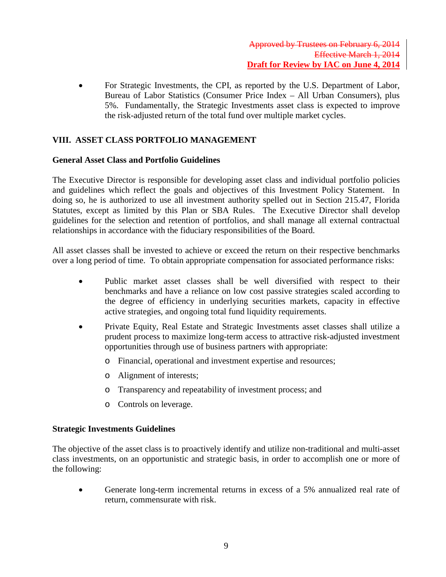• For Strategic Investments, the CPI, as reported by the U.S. Department of Labor, Bureau of Labor Statistics (Consumer Price Index – All Urban Consumers), plus 5%. Fundamentally, the Strategic Investments asset class is expected to improve the risk-adjusted return of the total fund over multiple market cycles.

## **VIII. ASSET CLASS PORTFOLIO MANAGEMENT**

### **General Asset Class and Portfolio Guidelines**

The Executive Director is responsible for developing asset class and individual portfolio policies and guidelines which reflect the goals and objectives of this Investment Policy Statement. In doing so, he is authorized to use all investment authority spelled out in Section 215.47, Florida Statutes, except as limited by this Plan or SBA Rules. The Executive Director shall develop guidelines for the selection and retention of portfolios, and shall manage all external contractual relationships in accordance with the fiduciary responsibilities of the Board.

All asset classes shall be invested to achieve or exceed the return on their respective benchmarks over a long period of time. To obtain appropriate compensation for associated performance risks:

- Public market asset classes shall be well diversified with respect to their benchmarks and have a reliance on low cost passive strategies scaled according to the degree of efficiency in underlying securities markets, capacity in effective active strategies, and ongoing total fund liquidity requirements.
- Private Equity, Real Estate and Strategic Investments asset classes shall utilize a prudent process to maximize long-term access to attractive risk-adjusted investment opportunities through use of business partners with appropriate:
	- o Financial, operational and investment expertise and resources;
	- o Alignment of interests;
	- o Transparency and repeatability of investment process; and
	- o Controls on leverage.

### **Strategic Investments Guidelines**

The objective of the asset class is to proactively identify and utilize non-traditional and multi-asset class investments, on an opportunistic and strategic basis, in order to accomplish one or more of the following:

• Generate long-term incremental returns in excess of a 5% annualized real rate of return, commensurate with risk.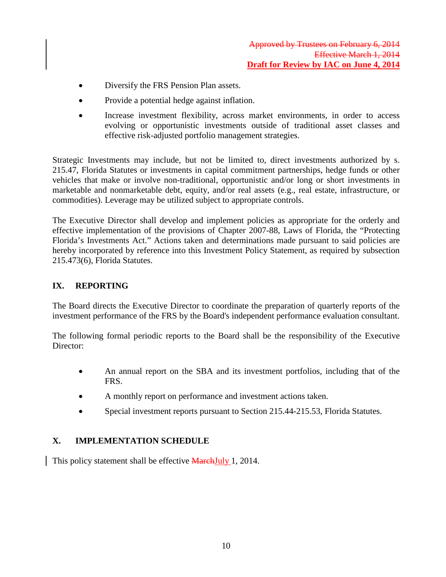- Diversify the FRS Pension Plan assets.
- Provide a potential hedge against inflation.
- Increase investment flexibility, across market environments, in order to access evolving or opportunistic investments outside of traditional asset classes and effective risk-adjusted portfolio management strategies.

Strategic Investments may include, but not be limited to, direct investments authorized by s. 215.47, Florida Statutes or investments in capital commitment partnerships, hedge funds or other vehicles that make or involve non-traditional, opportunistic and/or long or short investments in marketable and nonmarketable debt, equity, and/or real assets (e.g., real estate, infrastructure, or commodities). Leverage may be utilized subject to appropriate controls.

The Executive Director shall develop and implement policies as appropriate for the orderly and effective implementation of the provisions of Chapter 2007-88, Laws of Florida, the "Protecting Florida's Investments Act." Actions taken and determinations made pursuant to said policies are hereby incorporated by reference into this Investment Policy Statement, as required by subsection 215.473(6), Florida Statutes.

## **IX. REPORTING**

The Board directs the Executive Director to coordinate the preparation of quarterly reports of the investment performance of the FRS by the Board's independent performance evaluation consultant.

The following formal periodic reports to the Board shall be the responsibility of the Executive Director:

- An annual report on the SBA and its investment portfolios, including that of the FRS.
- A monthly report on performance and investment actions taken.
- Special investment reports pursuant to Section 215.44-215.53, Florida Statutes.

## **X. IMPLEMENTATION SCHEDULE**

This policy statement shall be effective **MarchJuly** 1, 2014.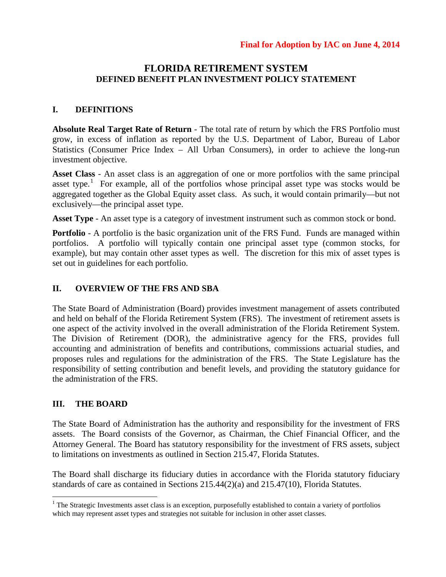## **FLORIDA RETIREMENT SYSTEM DEFINED BENEFIT PLAN INVESTMENT POLICY STATEMENT**

### **I. DEFINITIONS**

**Absolute Real Target Rate of Return** - The total rate of return by which the FRS Portfolio must grow, in excess of inflation as reported by the U.S. Department of Labor, Bureau of Labor Statistics (Consumer Price Index – All Urban Consumers), in order to achieve the long-run investment objective.

**Asset Class** - An asset class is an aggregation of one or more portfolios with the same principal asset type.<sup>[1](#page-11-0)</sup> For example, all of the portfolios whose principal asset type was stocks would be aggregated together as the Global Equity asset class. As such, it would contain primarily—but not exclusively—the principal asset type.

**Asset Type** - An asset type is a category of investment instrument such as common stock or bond.

**Portfolio** - A portfolio is the basic organization unit of the FRS Fund. Funds are managed within portfolios. A portfolio will typically contain one principal asset type (common stocks, for example), but may contain other asset types as well. The discretion for this mix of asset types is set out in guidelines for each portfolio.

### **II. OVERVIEW OF THE FRS AND SBA**

The State Board of Administration (Board) provides investment management of assets contributed and held on behalf of the Florida Retirement System (FRS). The investment of retirement assets is one aspect of the activity involved in the overall administration of the Florida Retirement System. The Division of Retirement (DOR), the administrative agency for the FRS, provides full accounting and administration of benefits and contributions, commissions actuarial studies, and proposes rules and regulations for the administration of the FRS. The State Legislature has the responsibility of setting contribution and benefit levels, and providing the statutory guidance for the administration of the FRS.

### **III. THE BOARD**

The State Board of Administration has the authority and responsibility for the investment of FRS assets. The Board consists of the Governor, as Chairman, the Chief Financial Officer, and the Attorney General. The Board has statutory responsibility for the investment of FRS assets, subject to limitations on investments as outlined in Section 215.47, Florida Statutes.

The Board shall discharge its fiduciary duties in accordance with the Florida statutory fiduciary standards of care as contained in Sections 215.44(2)(a) and 215.47(10), Florida Statutes.

<span id="page-11-0"></span> $1$ <sup>1</sup> The Strategic Investments asset class is an exception, purposefully established to contain a variety of portfolios which may represent asset types and strategies not suitable for inclusion in other asset classes.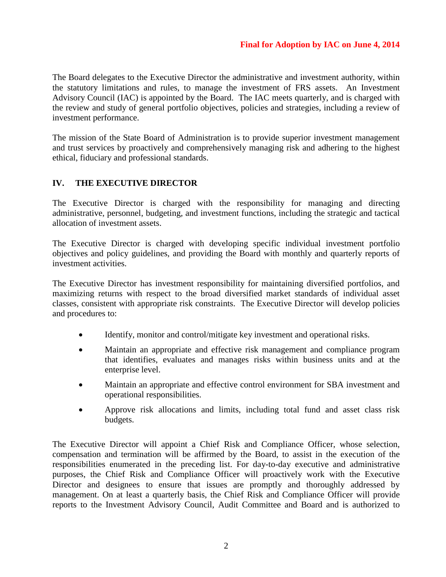The Board delegates to the Executive Director the administrative and investment authority, within the statutory limitations and rules, to manage the investment of FRS assets. An Investment Advisory Council (IAC) is appointed by the Board. The IAC meets quarterly, and is charged with the review and study of general portfolio objectives, policies and strategies, including a review of investment performance.

The mission of the State Board of Administration is to provide superior investment management and trust services by proactively and comprehensively managing risk and adhering to the highest ethical, fiduciary and professional standards.

## **IV. THE EXECUTIVE DIRECTOR**

The Executive Director is charged with the responsibility for managing and directing administrative, personnel, budgeting, and investment functions, including the strategic and tactical allocation of investment assets.

The Executive Director is charged with developing specific individual investment portfolio objectives and policy guidelines, and providing the Board with monthly and quarterly reports of investment activities.

The Executive Director has investment responsibility for maintaining diversified portfolios, and maximizing returns with respect to the broad diversified market standards of individual asset classes, consistent with appropriate risk constraints. The Executive Director will develop policies and procedures to:

- Identify, monitor and control/mitigate key investment and operational risks.
- Maintain an appropriate and effective risk management and compliance program that identifies, evaluates and manages risks within business units and at the enterprise level.
- Maintain an appropriate and effective control environment for SBA investment and operational responsibilities.
- Approve risk allocations and limits, including total fund and asset class risk budgets.

The Executive Director will appoint a Chief Risk and Compliance Officer, whose selection, compensation and termination will be affirmed by the Board, to assist in the execution of the responsibilities enumerated in the preceding list. For day-to-day executive and administrative purposes, the Chief Risk and Compliance Officer will proactively work with the Executive Director and designees to ensure that issues are promptly and thoroughly addressed by management. On at least a quarterly basis, the Chief Risk and Compliance Officer will provide reports to the Investment Advisory Council, Audit Committee and Board and is authorized to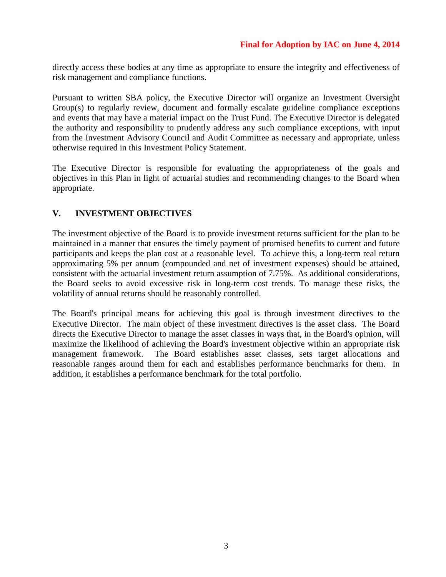directly access these bodies at any time as appropriate to ensure the integrity and effectiveness of risk management and compliance functions.

Pursuant to written SBA policy, the Executive Director will organize an Investment Oversight Group(s) to regularly review, document and formally escalate guideline compliance exceptions and events that may have a material impact on the Trust Fund. The Executive Director is delegated the authority and responsibility to prudently address any such compliance exceptions, with input from the Investment Advisory Council and Audit Committee as necessary and appropriate, unless otherwise required in this Investment Policy Statement.

The Executive Director is responsible for evaluating the appropriateness of the goals and objectives in this Plan in light of actuarial studies and recommending changes to the Board when appropriate.

## **V. INVESTMENT OBJECTIVES**

The investment objective of the Board is to provide investment returns sufficient for the plan to be maintained in a manner that ensures the timely payment of promised benefits to current and future participants and keeps the plan cost at a reasonable level. To achieve this, a long-term real return approximating 5% per annum (compounded and net of investment expenses) should be attained, consistent with the actuarial investment return assumption of 7.75%. As additional considerations, the Board seeks to avoid excessive risk in long-term cost trends. To manage these risks, the volatility of annual returns should be reasonably controlled.

The Board's principal means for achieving this goal is through investment directives to the Executive Director. The main object of these investment directives is the asset class. The Board directs the Executive Director to manage the asset classes in ways that, in the Board's opinion, will maximize the likelihood of achieving the Board's investment objective within an appropriate risk management framework. The Board establishes asset classes, sets target allocations and reasonable ranges around them for each and establishes performance benchmarks for them. In addition, it establishes a performance benchmark for the total portfolio.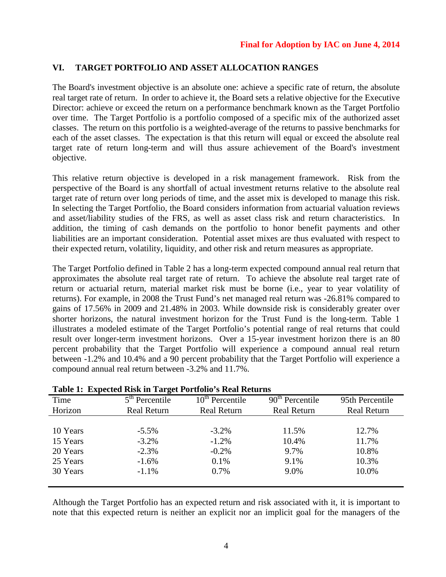## **VI. TARGET PORTFOLIO AND ASSET ALLOCATION RANGES**

The Board's investment objective is an absolute one: achieve a specific rate of return, the absolute real target rate of return. In order to achieve it, the Board sets a relative objective for the Executive Director: achieve or exceed the return on a performance benchmark known as the Target Portfolio over time. The Target Portfolio is a portfolio composed of a specific mix of the authorized asset classes. The return on this portfolio is a weighted-average of the returns to passive benchmarks for each of the asset classes. The expectation is that this return will equal or exceed the absolute real target rate of return long-term and will thus assure achievement of the Board's investment objective.

This relative return objective is developed in a risk management framework. Risk from the perspective of the Board is any shortfall of actual investment returns relative to the absolute real target rate of return over long periods of time, and the asset mix is developed to manage this risk. In selecting the Target Portfolio, the Board considers information from actuarial valuation reviews and asset/liability studies of the FRS, as well as asset class risk and return characteristics. In addition, the timing of cash demands on the portfolio to honor benefit payments and other liabilities are an important consideration. Potential asset mixes are thus evaluated with respect to their expected return, volatility, liquidity, and other risk and return measures as appropriate.

The Target Portfolio defined in Table 2 has a long-term expected compound annual real return that approximates the absolute real target rate of return. To achieve the absolute real target rate of return or actuarial return, material market risk must be borne (i.e., year to year volatility of returns). For example, in 2008 the Trust Fund's net managed real return was -26.81% compared to gains of 17.56% in 2009 and 21.48% in 2003. While downside risk is considerably greater over shorter horizons, the natural investment horizon for the Trust Fund is the long-term. Table 1 illustrates a modeled estimate of the Target Portfolio's potential range of real returns that could result over longer-term investment horizons. Over a 15-year investment horizon there is an 80 percent probability that the Target Portfolio will experience a compound annual real return between -1.2% and 10.4% and a 90 percent probability that the Target Portfolio will experience a compound annual real return between -3.2% and 11.7%.

| Table 1: Expected Risk in Target Portfolio's Real Returns |                  |                    |                    |                    |  |
|-----------------------------------------------------------|------------------|--------------------|--------------------|--------------------|--|
| Time                                                      | $5th$ Percentile | $10th$ Percentile  | $90th$ Percentile  | 95th Percentile    |  |
| Horizon                                                   | Real Return      | <b>Real Return</b> | <b>Real Return</b> | <b>Real Return</b> |  |
|                                                           |                  |                    |                    |                    |  |
| 10 Years                                                  | $-5.5\%$         | $-3.2\%$           | 11.5%              | 12.7%              |  |
| 15 Years                                                  | $-3.2\%$         | $-1.2\%$           | 10.4%              | 11.7%              |  |
| 20 Years                                                  | $-2.3%$          | $-0.2\%$           | 9.7%               | 10.8%              |  |
| 25 Years                                                  | $-1.6%$          | 0.1%               | 9.1%               | 10.3%              |  |
| 30 Years                                                  | $-1.1\%$         | 0.7%               | 9.0%               | 10.0%              |  |
|                                                           |                  |                    |                    |                    |  |

| Table 1: Expected Risk in Target Portfolio's Real Returns |
|-----------------------------------------------------------|
|-----------------------------------------------------------|

Although the Target Portfolio has an expected return and risk associated with it, it is important to note that this expected return is neither an explicit nor an implicit goal for the managers of the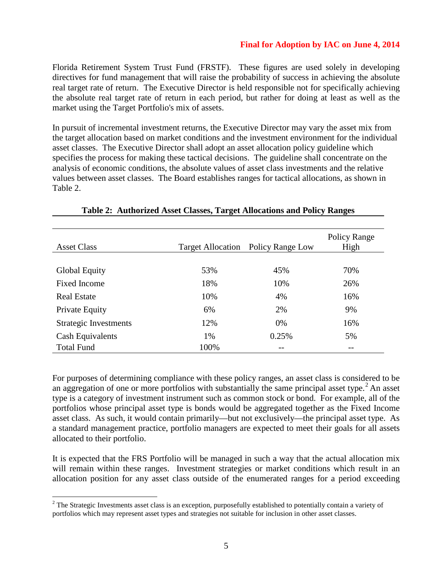### **Final for Adoption by IAC on June 4, 2014**

Florida Retirement System Trust Fund (FRSTF). These figures are used solely in developing directives for fund management that will raise the probability of success in achieving the absolute real target rate of return. The Executive Director is held responsible not for specifically achieving the absolute real target rate of return in each period, but rather for doing at least as well as the market using the Target Portfolio's mix of assets.

In pursuit of incremental investment returns, the Executive Director may vary the asset mix from the target allocation based on market conditions and the investment environment for the individual asset classes. The Executive Director shall adopt an asset allocation policy guideline which specifies the process for making these tactical decisions. The guideline shall concentrate on the analysis of economic conditions, the absolute values of asset class investments and the relative values between asset classes. The Board establishes ranges for tactical allocations, as shown in Table 2.

| <b>Asset Class</b>    | <b>Target Allocation</b> | Policy Range Low | Policy Range<br>High |
|-----------------------|--------------------------|------------------|----------------------|
|                       |                          |                  |                      |
| <b>Global Equity</b>  | 53%                      | 45%              | 70%                  |
| Fixed Income          | 18%                      | 10%              | 26%                  |
| <b>Real Estate</b>    | 10%                      | 4%               | 16%                  |
| Private Equity        | 6%                       | 2%               | 9%                   |
| Strategic Investments | 12%                      | 0%               | 16%                  |
| Cash Equivalents      | 1%                       | 0.25%            | 5%                   |
| <b>Total Fund</b>     | 100%                     | --               |                      |

### **Table 2: Authorized Asset Classes, Target Allocations and Policy Ranges**

For purposes of determining compliance with these policy ranges, an asset class is considered to be an aggregation of one or more portfolios with substantially the same principal asset type.<sup>[2](#page-15-0)</sup> An asset type is a category of investment instrument such as common stock or bond. For example, all of the portfolios whose principal asset type is bonds would be aggregated together as the Fixed Income asset class. As such, it would contain primarily—but not exclusively—the principal asset type. As a standard management practice, portfolio managers are expected to meet their goals for all assets allocated to their portfolio.

It is expected that the FRS Portfolio will be managed in such a way that the actual allocation mix will remain within these ranges. Investment strategies or market conditions which result in an allocation position for any asset class outside of the enumerated ranges for a period exceeding

<span id="page-15-0"></span><sup>&</sup>lt;sup>2</sup> The Strategic Investments asset class is an exception, purposefully established to potentially contain a variety of portfolios which may represent asset types and strategies not suitable for inclusion in other asset classes.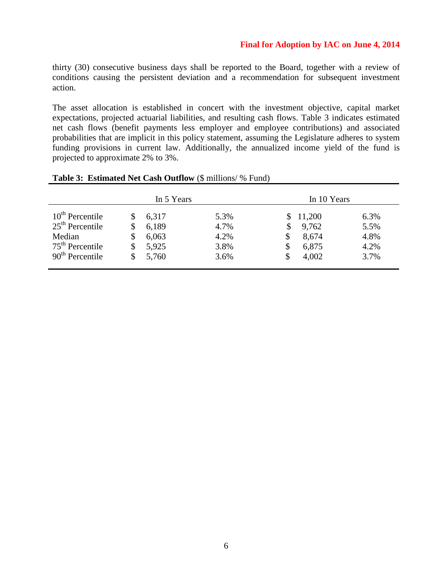### **Final for Adoption by IAC on June 4, 2014**

thirty (30) consecutive business days shall be reported to the Board, together with a review of conditions causing the persistent deviation and a recommendation for subsequent investment action.

The asset allocation is established in concert with the investment objective, capital market expectations, projected actuarial liabilities, and resulting cash flows. Table 3 indicates estimated net cash flows (benefit payments less employer and employee contributions) and associated probabilities that are implicit in this policy statement, assuming the Legislature adheres to system funding provisions in current law. Additionally, the annualized income yield of the fund is projected to approximate 2% to 3%.

|                   |    | In 5 Years |      | In 10 Years |        |      |
|-------------------|----|------------|------|-------------|--------|------|
| $10th$ Percentile |    | 6,317      | 5.3% |             | 11,200 | 6.3% |
| $25th$ Percentile | S  | 6,189      | 4.7% |             | 9,762  | 5.5% |
| Median            | \$ | 6,063      | 4.2% |             | 8,674  | 4.8% |
| $75th$ Percentile | S  | 5,925      | 3.8% |             | 6,875  | 4.2% |
| $90th$ Percentile | \$ | 5,760      | 3.6% |             | 4,002  | 3.7% |

#### **Table 3: Estimated Net Cash Outflow** (\$ millions/ % Fund)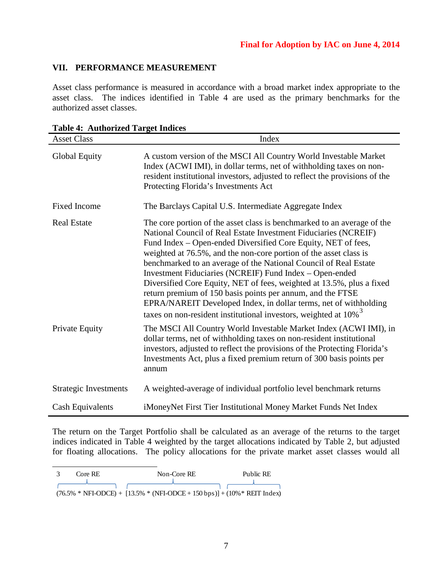## **VII. PERFORMANCE MEASUREMENT**

Asset class performance is measured in accordance with a broad market index appropriate to the asset class. The indices identified in Table 4 are used as the primary benchmarks for the authorized asset classes.

| $\mathbf{r}$ and $\mathbf{r}$ , required the $\mathbf{r}$ and $\mathbf{r}$ matches<br><b>Asset Class</b> | Index                                                                                                                                                                                                                                                                                                                                                                                                                                                                                                                                                                                                                                                                                                        |
|----------------------------------------------------------------------------------------------------------|--------------------------------------------------------------------------------------------------------------------------------------------------------------------------------------------------------------------------------------------------------------------------------------------------------------------------------------------------------------------------------------------------------------------------------------------------------------------------------------------------------------------------------------------------------------------------------------------------------------------------------------------------------------------------------------------------------------|
| Global Equity                                                                                            | A custom version of the MSCI All Country World Investable Market<br>Index (ACWI IMI), in dollar terms, net of withholding taxes on non-<br>resident institutional investors, adjusted to reflect the provisions of the<br>Protecting Florida's Investments Act                                                                                                                                                                                                                                                                                                                                                                                                                                               |
| <b>Fixed Income</b>                                                                                      | The Barclays Capital U.S. Intermediate Aggregate Index                                                                                                                                                                                                                                                                                                                                                                                                                                                                                                                                                                                                                                                       |
| <b>Real Estate</b>                                                                                       | The core portion of the asset class is benchmarked to an average of the<br>National Council of Real Estate Investment Fiduciaries (NCREIF)<br>Fund Index – Open-ended Diversified Core Equity, NET of fees,<br>weighted at 76.5%, and the non-core portion of the asset class is<br>benchmarked to an average of the National Council of Real Estate<br>Investment Fiduciaries (NCREIF) Fund Index - Open-ended<br>Diversified Core Equity, NET of fees, weighted at 13.5%, plus a fixed<br>return premium of 150 basis points per annum, and the FTSE<br>EPRA/NAREIT Developed Index, in dollar terms, net of withholding<br>taxes on non-resident institutional investors, weighted at $10\%$ <sup>3</sup> |
| Private Equity                                                                                           | The MSCI All Country World Investable Market Index (ACWI IMI), in<br>dollar terms, net of withholding taxes on non-resident institutional<br>investors, adjusted to reflect the provisions of the Protecting Florida's<br>Investments Act, plus a fixed premium return of 300 basis points per<br>annum                                                                                                                                                                                                                                                                                                                                                                                                      |
| <b>Strategic Investments</b>                                                                             | A weighted-average of individual portfolio level benchmark returns                                                                                                                                                                                                                                                                                                                                                                                                                                                                                                                                                                                                                                           |
| <b>Cash Equivalents</b>                                                                                  | iMoneyNet First Tier Institutional Money Market Funds Net Index                                                                                                                                                                                                                                                                                                                                                                                                                                                                                                                                                                                                                                              |

| <b>Table 4: Authorized Target Indices</b> |
|-------------------------------------------|
|-------------------------------------------|

The return on the Target Portfolio shall be calculated as an average of the returns to the target indices indicated in Table 4 weighted by the target allocations indicated by Table 2, but adjusted for floating allocations. The policy allocations for the private market asset classes would all

<span id="page-17-0"></span>

| Core RE | Non-Core RE                                                                                         | Public RE |
|---------|-----------------------------------------------------------------------------------------------------|-----------|
|         |                                                                                                     |           |
|         | $(76.5\% * NFI\text{-ODCE}) + [13.5\% * (NFI\text{-ODCE} + 150 \text{ bps})] + (10\% * REIT Index)$ |           |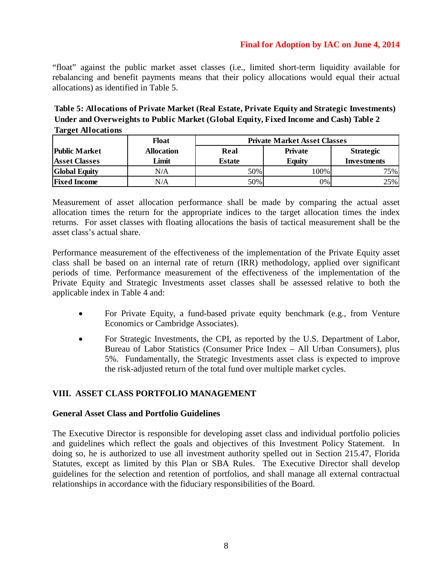### **Final for Adoption by IAC on June 4, 2014**

"float" against the public market asset classes (i.e., limited short-term liquidity available for rebalancing and benefit payments means that their policy allocations would equal their actual allocations) as identified in Table 5.

**Table 5: Allocations of Private Market (Real Estate, Private Equity and Strategic Investments) Under and Overweights to Public Market (Global Equity, Fixed Income and Cash) Table 2 Target Allocations**

|                      | Float             | <b>Private Market Asset Classes</b> |                |                  |
|----------------------|-------------------|-------------------------------------|----------------|------------------|
| <b>Public Market</b> | <b>Allocation</b> | Real                                | <b>Private</b> | <b>Strategic</b> |
| <b>Asset Classes</b> | Limit             | <b>Estate</b>                       | <b>Equity</b>  | Investments      |
| <b>Global Equity</b> | $\rm N/A$         | 50%                                 | 100%           | 75%              |
| <b>Fixed Income</b>  | N/A               | 50%                                 | 0%             | 25%              |

Measurement of asset allocation performance shall be made by comparing the actual asset allocation times the return for the appropriate indices to the target allocation times the index returns. For asset classes with floating allocations the basis of tactical measurement shall be the asset class's actual share.

Performance measurement of the effectiveness of the implementation of the Private Equity asset class shall be based on an internal rate of return (IRR) methodology, applied over significant periods of time. Performance measurement of the effectiveness of the implementation of the Private Equity and Strategic Investments asset classes shall be assessed relative to both the applicable index in Table 4 and:

- For Private Equity, a fund-based private equity benchmark (e.g., from Venture Economics or Cambridge Associates).
- For Strategic Investments, the CPI, as reported by the U.S. Department of Labor, Bureau of Labor Statistics (Consumer Price Index – All Urban Consumers), plus 5%. Fundamentally, the Strategic Investments asset class is expected to improve the risk-adjusted return of the total fund over multiple market cycles.

## **VIII. ASSET CLASS PORTFOLIO MANAGEMENT**

### **General Asset Class and Portfolio Guidelines**

The Executive Director is responsible for developing asset class and individual portfolio policies and guidelines which reflect the goals and objectives of this Investment Policy Statement. In doing so, he is authorized to use all investment authority spelled out in Section 215.47, Florida Statutes, except as limited by this Plan or SBA Rules. The Executive Director shall develop guidelines for the selection and retention of portfolios, and shall manage all external contractual relationships in accordance with the fiduciary responsibilities of the Board.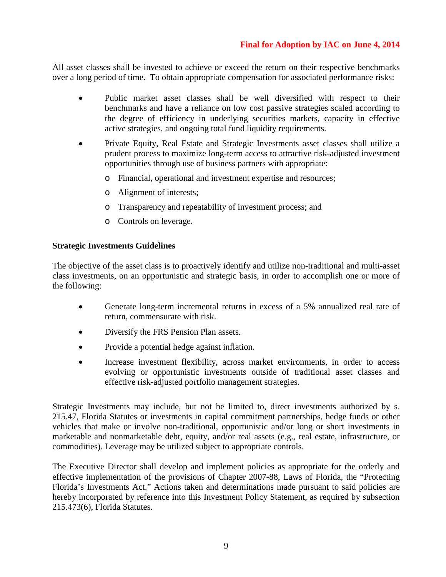## **Final for Adoption by IAC on June 4, 2014**

All asset classes shall be invested to achieve or exceed the return on their respective benchmarks over a long period of time. To obtain appropriate compensation for associated performance risks:

- Public market asset classes shall be well diversified with respect to their benchmarks and have a reliance on low cost passive strategies scaled according to the degree of efficiency in underlying securities markets, capacity in effective active strategies, and ongoing total fund liquidity requirements.
- Private Equity, Real Estate and Strategic Investments asset classes shall utilize a prudent process to maximize long-term access to attractive risk-adjusted investment opportunities through use of business partners with appropriate:
	- o Financial, operational and investment expertise and resources;
	- o Alignment of interests;
	- o Transparency and repeatability of investment process; and
	- o Controls on leverage.

### **Strategic Investments Guidelines**

The objective of the asset class is to proactively identify and utilize non-traditional and multi-asset class investments, on an opportunistic and strategic basis, in order to accomplish one or more of the following:

- Generate long-term incremental returns in excess of a 5% annualized real rate of return, commensurate with risk.
- Diversify the FRS Pension Plan assets.
- Provide a potential hedge against inflation.
- Increase investment flexibility, across market environments, in order to access evolving or opportunistic investments outside of traditional asset classes and effective risk-adjusted portfolio management strategies.

Strategic Investments may include, but not be limited to, direct investments authorized by s. 215.47, Florida Statutes or investments in capital commitment partnerships, hedge funds or other vehicles that make or involve non-traditional, opportunistic and/or long or short investments in marketable and nonmarketable debt, equity, and/or real assets (e.g., real estate, infrastructure, or commodities). Leverage may be utilized subject to appropriate controls.

The Executive Director shall develop and implement policies as appropriate for the orderly and effective implementation of the provisions of Chapter 2007-88, Laws of Florida, the "Protecting Florida's Investments Act." Actions taken and determinations made pursuant to said policies are hereby incorporated by reference into this Investment Policy Statement, as required by subsection 215.473(6), Florida Statutes.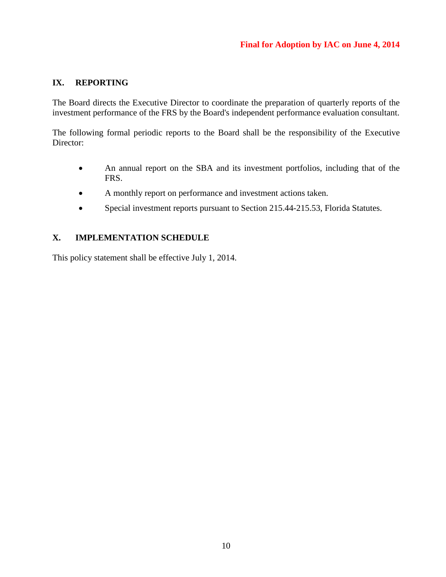## **IX. REPORTING**

The Board directs the Executive Director to coordinate the preparation of quarterly reports of the investment performance of the FRS by the Board's independent performance evaluation consultant.

The following formal periodic reports to the Board shall be the responsibility of the Executive Director:

- An annual report on the SBA and its investment portfolios, including that of the FRS.
- A monthly report on performance and investment actions taken.
- Special investment reports pursuant to Section 215.44-215.53, Florida Statutes.

## **X. IMPLEMENTATION SCHEDULE**

This policy statement shall be effective July 1, 2014.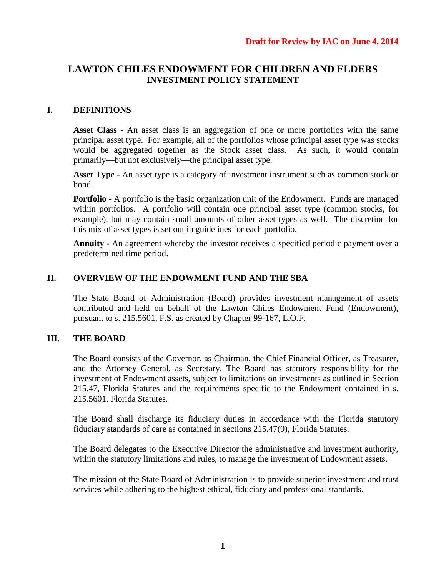## **LAWTON CHILES ENDOWMENT FOR CHILDREN AND ELDERS INVESTMENT POLICY STATEMENT**

## **I. DEFINITIONS**

**Asset Class** - An asset class is an aggregation of one or more portfolios with the same principal asset type. For example, all of the portfolios whose principal asset type was stocks would be aggregated together as the Stock asset class. As such, it would contain primarily—but not exclusively—the principal asset type.

**Asset Type** - An asset type is a category of investment instrument such as common stock or bond.

**Portfolio** - A portfolio is the basic organization unit of the Endowment. Funds are managed within portfolios. A portfolio will contain one principal asset type (common stocks, for example), but may contain small amounts of other asset types as well. The discretion for this mix of asset types is set out in guidelines for each portfolio.

**Annuity** - An agreement whereby the investor receives a specified periodic payment over a predetermined time period.

### **II. OVERVIEW OF THE ENDOWMENT FUND AND THE SBA**

The State Board of Administration (Board) provides investment management of assets contributed and held on behalf of the Lawton Chiles Endowment Fund (Endowment), pursuant to s. 215.5601, F.S. as created by Chapter 99-167, L.O.F.

## **III. THE BOARD**

The Board consists of the Governor, as Chairman, the Chief Financial Officer, as Treasurer, and the Attorney General, as Secretary. The Board has statutory responsibility for the investment of Endowment assets, subject to limitations on investments as outlined in Section 215.47, Florida Statutes and the requirements specific to the Endowment contained in s. 215.5601, Florida Statutes.

The Board shall discharge its fiduciary duties in accordance with the Florida statutory fiduciary standards of care as contained in sections 215.47(9), Florida Statutes.

The Board delegates to the Executive Director the administrative and investment authority, within the statutory limitations and rules, to manage the investment of Endowment assets.

The mission of the State Board of Administration is to provide superior investment and trust services while adhering to the highest ethical, fiduciary and professional standards.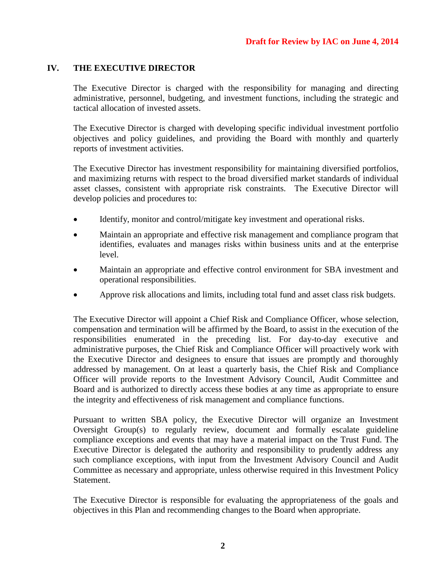### **IV. THE EXECUTIVE DIRECTOR**

The Executive Director is charged with the responsibility for managing and directing administrative, personnel, budgeting, and investment functions, including the strategic and tactical allocation of invested assets.

The Executive Director is charged with developing specific individual investment portfolio objectives and policy guidelines, and providing the Board with monthly and quarterly reports of investment activities.

The Executive Director has investment responsibility for maintaining diversified portfolios, and maximizing returns with respect to the broad diversified market standards of individual asset classes, consistent with appropriate risk constraints. The Executive Director will develop policies and procedures to:

- Identify, monitor and control/mitigate key investment and operational risks.
- Maintain an appropriate and effective risk management and compliance program that identifies, evaluates and manages risks within business units and at the enterprise level.
- Maintain an appropriate and effective control environment for SBA investment and operational responsibilities.
- Approve risk allocations and limits, including total fund and asset class risk budgets.

The Executive Director will appoint a Chief Risk and Compliance Officer, whose selection, compensation and termination will be affirmed by the Board, to assist in the execution of the responsibilities enumerated in the preceding list. For day-to-day executive and administrative purposes, the Chief Risk and Compliance Officer will proactively work with the Executive Director and designees to ensure that issues are promptly and thoroughly addressed by management. On at least a quarterly basis, the Chief Risk and Compliance Officer will provide reports to the Investment Advisory Council, Audit Committee and Board and is authorized to directly access these bodies at any time as appropriate to ensure the integrity and effectiveness of risk management and compliance functions.

Pursuant to written SBA policy, the Executive Director will organize an Investment Oversight Group(s) to regularly review, document and formally escalate guideline compliance exceptions and events that may have a material impact on the Trust Fund. The Executive Director is delegated the authority and responsibility to prudently address any such compliance exceptions, with input from the Investment Advisory Council and Audit Committee as necessary and appropriate, unless otherwise required in this Investment Policy Statement.

The Executive Director is responsible for evaluating the appropriateness of the goals and objectives in this Plan and recommending changes to the Board when appropriate.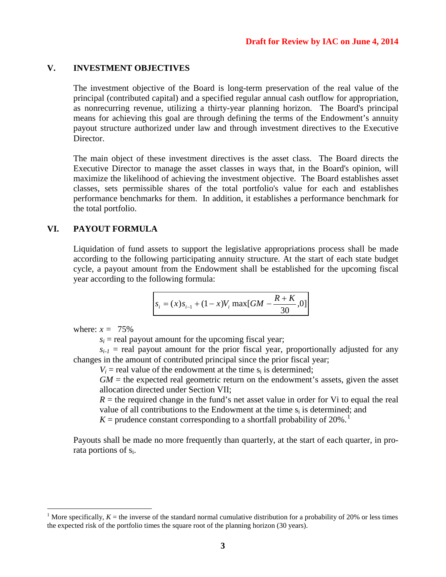### **V. INVESTMENT OBJECTIVES**

The investment objective of the Board is long-term preservation of the real value of the principal (contributed capital) and a specified regular annual cash outflow for appropriation, as nonrecurring revenue, utilizing a thirty-year planning horizon. The Board's principal means for achieving this goal are through defining the terms of the Endowment's annuity payout structure authorized under law and through investment directives to the Executive Director.

The main object of these investment directives is the asset class. The Board directs the Executive Director to manage the asset classes in ways that, in the Board's opinion, will maximize the likelihood of achieving the investment objective. The Board establishes asset classes, sets permissible shares of the total portfolio's value for each and establishes performance benchmarks for them. In addition, it establishes a performance benchmark for the total portfolio.

### **VI. PAYOUT FORMULA**

Liquidation of fund assets to support the legislative appropriations process shall be made according to the following participating annuity structure. At the start of each state budget cycle, a payout amount from the Endowment shall be established for the upcoming fiscal year according to the following formula:

$$
s_i = (x)s_{i-1} + (1-x)V_i \max[GM - \frac{R+K}{30}, 0]
$$

where:  $x = 75\%$ 

 $s_i$  = real payout amount for the upcoming fiscal year;

 $s_{i-1}$  = real payout amount for the prior fiscal year, proportionally adjusted for any changes in the amount of contributed principal since the prior fiscal year;

 $V_i$  = real value of the endowment at the time  $s_i$  is determined;

 $GM =$  the expected real geometric return on the endowment's assets, given the asset allocation directed under Section VII;

 $R =$  the required change in the fund's net asset value in order for Vi to equal the real value of all contributions to the Endowment at the time  $s_i$  is determined; and

 $K =$  prudence constant corresponding to a shortfall probability of 20%.<sup>[1](#page-23-0)</sup>

Payouts shall be made no more frequently than quarterly, at the start of each quarter, in prorata portions of si.

<span id="page-23-0"></span><sup>&</sup>lt;sup>1</sup> More specifically,  $K =$  the inverse of the standard normal cumulative distribution for a probability of 20% or less times the expected risk of the portfolio times the square root of the planning horizon (30 years).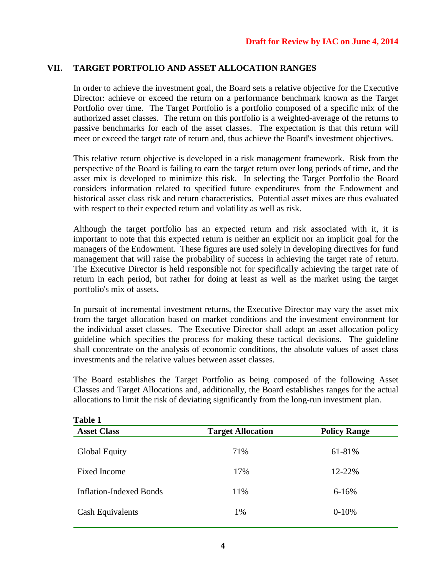## **VII. TARGET PORTFOLIO AND ASSET ALLOCATION RANGES**

In order to achieve the investment goal, the Board sets a relative objective for the Executive Director: achieve or exceed the return on a performance benchmark known as the Target Portfolio over time. The Target Portfolio is a portfolio composed of a specific mix of the authorized asset classes. The return on this portfolio is a weighted-average of the returns to passive benchmarks for each of the asset classes. The expectation is that this return will meet or exceed the target rate of return and, thus achieve the Board's investment objectives.

This relative return objective is developed in a risk management framework. Risk from the perspective of the Board is failing to earn the target return over long periods of time, and the asset mix is developed to minimize this risk. In selecting the Target Portfolio the Board considers information related to specified future expenditures from the Endowment and historical asset class risk and return characteristics. Potential asset mixes are thus evaluated with respect to their expected return and volatility as well as risk.

Although the target portfolio has an expected return and risk associated with it, it is important to note that this expected return is neither an explicit nor an implicit goal for the managers of the Endowment. These figures are used solely in developing directives for fund management that will raise the probability of success in achieving the target rate of return. The Executive Director is held responsible not for specifically achieving the target rate of return in each period, but rather for doing at least as well as the market using the target portfolio's mix of assets.

In pursuit of incremental investment returns, the Executive Director may vary the asset mix from the target allocation based on market conditions and the investment environment for the individual asset classes. The Executive Director shall adopt an asset allocation policy guideline which specifies the process for making these tactical decisions. The guideline shall concentrate on the analysis of economic conditions, the absolute values of asset class investments and the relative values between asset classes.

The Board establishes the Target Portfolio as being composed of the following Asset Classes and Target Allocations and, additionally, the Board establishes ranges for the actual allocations to limit the risk of deviating significantly from the long-run investment plan.

| Table 1                        |                          |                     |
|--------------------------------|--------------------------|---------------------|
| <b>Asset Class</b>             | <b>Target Allocation</b> | <b>Policy Range</b> |
| <b>Global Equity</b>           | 71%                      | 61-81%              |
| Fixed Income                   | 17%                      | 12-22%              |
| <b>Inflation-Indexed Bonds</b> | 11%                      | $6 - 16%$           |
| Cash Equivalents               | 1%                       | $0-10%$             |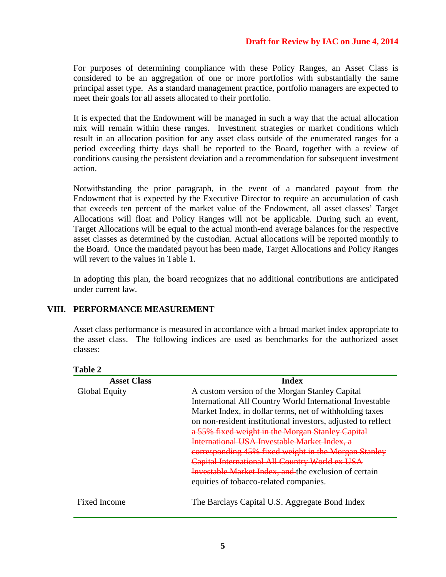### **Draft for Review by IAC on June 4, 2014**

For purposes of determining compliance with these Policy Ranges, an Asset Class is considered to be an aggregation of one or more portfolios with substantially the same principal asset type. As a standard management practice, portfolio managers are expected to meet their goals for all assets allocated to their portfolio.

It is expected that the Endowment will be managed in such a way that the actual allocation mix will remain within these ranges. Investment strategies or market conditions which result in an allocation position for any asset class outside of the enumerated ranges for a period exceeding thirty days shall be reported to the Board, together with a review of conditions causing the persistent deviation and a recommendation for subsequent investment action.

Notwithstanding the prior paragraph, in the event of a mandated payout from the Endowment that is expected by the Executive Director to require an accumulation of cash that exceeds ten percent of the market value of the Endowment, all asset classes' Target Allocations will float and Policy Ranges will not be applicable. During such an event, Target Allocations will be equal to the actual month-end average balances for the respective asset classes as determined by the custodian. Actual allocations will be reported monthly to the Board. Once the mandated payout has been made, Target Allocations and Policy Ranges will revert to the values in Table 1.

In adopting this plan, the board recognizes that no additional contributions are anticipated under current law.

### **VIII. PERFORMANCE MEASUREMENT**

Asset class performance is measured in accordance with a broad market index appropriate to the asset class. The following indices are used as benchmarks for the authorized asset classes:

| <b>Asset Class</b>   | <b>Index</b>                                                 |
|----------------------|--------------------------------------------------------------|
| <b>Global Equity</b> | A custom version of the Morgan Stanley Capital               |
|                      | International All Country World International Investable     |
|                      | Market Index, in dollar terms, net of withholding taxes      |
|                      | on non-resident institutional investors, adjusted to reflect |
|                      | a 55% fixed weight in the Morgan Stanley Capital             |
|                      | International USA Investable Market Index. a                 |
|                      | corresponding 45% fixed weight in the Morgan Stanley         |
|                      | Capital International All Country World ex USA               |
|                      | <b>Investable Market Index, and the exclusion of certain</b> |
|                      | equities of tobacco-related companies.                       |
| <b>Fixed Income</b>  | The Barclays Capital U.S. Aggregate Bond Index               |

**Table 2**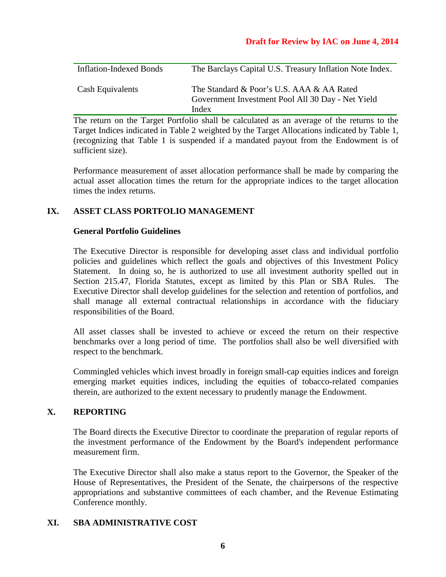### **Draft for Review by IAC on June 4, 2014**

| <b>Inflation-Indexed Bonds</b> | The Barclays Capital U.S. Treasury Inflation Note Index.                                                |
|--------------------------------|---------------------------------------------------------------------------------------------------------|
| Cash Equivalents               | The Standard & Poor's U.S. AAA & AA Rated<br>Government Investment Pool All 30 Day - Net Yield<br>Index |

The return on the Target Portfolio shall be calculated as an average of the returns to the Target Indices indicated in Table 2 weighted by the Target Allocations indicated by Table 1, (recognizing that Table 1 is suspended if a mandated payout from the Endowment is of sufficient size).

Performance measurement of asset allocation performance shall be made by comparing the actual asset allocation times the return for the appropriate indices to the target allocation times the index returns.

### **IX. ASSET CLASS PORTFOLIO MANAGEMENT**

### **General Portfolio Guidelines**

The Executive Director is responsible for developing asset class and individual portfolio policies and guidelines which reflect the goals and objectives of this Investment Policy Statement. In doing so, he is authorized to use all investment authority spelled out in Section 215.47, Florida Statutes, except as limited by this Plan or SBA Rules. The Executive Director shall develop guidelines for the selection and retention of portfolios, and shall manage all external contractual relationships in accordance with the fiduciary responsibilities of the Board.

All asset classes shall be invested to achieve or exceed the return on their respective benchmarks over a long period of time. The portfolios shall also be well diversified with respect to the benchmark.

Commingled vehicles which invest broadly in foreign small-cap equities indices and foreign emerging market equities indices, including the equities of tobacco-related companies therein, are authorized to the extent necessary to prudently manage the Endowment.

### **X. REPORTING**

The Board directs the Executive Director to coordinate the preparation of regular reports of the investment performance of the Endowment by the Board's independent performance measurement firm.

The Executive Director shall also make a status report to the Governor, the Speaker of the House of Representatives, the President of the Senate, the chairpersons of the respective appropriations and substantive committees of each chamber, and the Revenue Estimating Conference monthly.

### **XI. SBA ADMINISTRATIVE COST**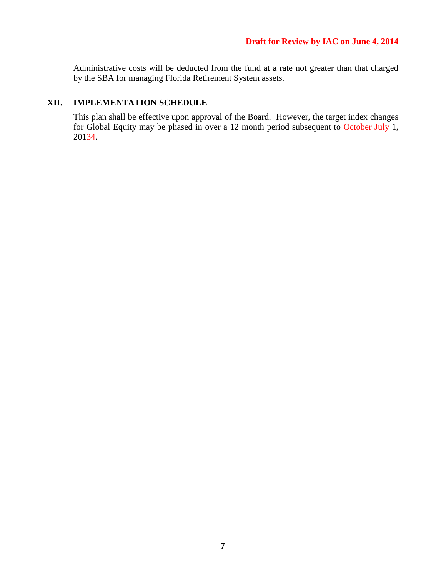Administrative costs will be deducted from the fund at a rate not greater than that charged by the SBA for managing Florida Retirement System assets.

### **XII. IMPLEMENTATION SCHEDULE**

This plan shall be effective upon approval of the Board. However, the target index changes for Global Equity may be phased in over a 12 month period subsequent to October-July 1, 20134.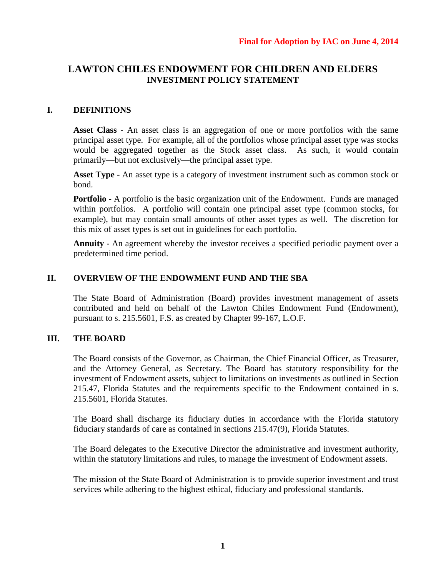## **LAWTON CHILES ENDOWMENT FOR CHILDREN AND ELDERS INVESTMENT POLICY STATEMENT**

### **I. DEFINITIONS**

**Asset Class** - An asset class is an aggregation of one or more portfolios with the same principal asset type. For example, all of the portfolios whose principal asset type was stocks would be aggregated together as the Stock asset class. As such, it would contain primarily—but not exclusively—the principal asset type.

**Asset Type** - An asset type is a category of investment instrument such as common stock or bond.

**Portfolio** - A portfolio is the basic organization unit of the Endowment. Funds are managed within portfolios. A portfolio will contain one principal asset type (common stocks, for example), but may contain small amounts of other asset types as well. The discretion for this mix of asset types is set out in guidelines for each portfolio.

**Annuity** - An agreement whereby the investor receives a specified periodic payment over a predetermined time period.

### **II. OVERVIEW OF THE ENDOWMENT FUND AND THE SBA**

The State Board of Administration (Board) provides investment management of assets contributed and held on behalf of the Lawton Chiles Endowment Fund (Endowment), pursuant to s. 215.5601, F.S. as created by Chapter 99-167, L.O.F.

## **III. THE BOARD**

The Board consists of the Governor, as Chairman, the Chief Financial Officer, as Treasurer, and the Attorney General, as Secretary. The Board has statutory responsibility for the investment of Endowment assets, subject to limitations on investments as outlined in Section 215.47, Florida Statutes and the requirements specific to the Endowment contained in s. 215.5601, Florida Statutes.

The Board shall discharge its fiduciary duties in accordance with the Florida statutory fiduciary standards of care as contained in sections 215.47(9), Florida Statutes.

The Board delegates to the Executive Director the administrative and investment authority, within the statutory limitations and rules, to manage the investment of Endowment assets.

The mission of the State Board of Administration is to provide superior investment and trust services while adhering to the highest ethical, fiduciary and professional standards.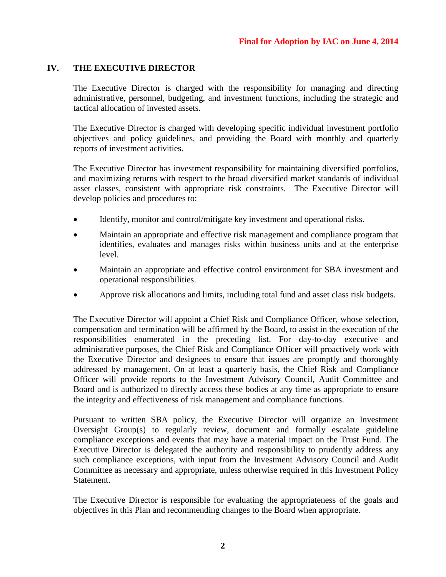### **IV. THE EXECUTIVE DIRECTOR**

The Executive Director is charged with the responsibility for managing and directing administrative, personnel, budgeting, and investment functions, including the strategic and tactical allocation of invested assets.

The Executive Director is charged with developing specific individual investment portfolio objectives and policy guidelines, and providing the Board with monthly and quarterly reports of investment activities.

The Executive Director has investment responsibility for maintaining diversified portfolios, and maximizing returns with respect to the broad diversified market standards of individual asset classes, consistent with appropriate risk constraints. The Executive Director will develop policies and procedures to:

- Identify, monitor and control/mitigate key investment and operational risks.
- Maintain an appropriate and effective risk management and compliance program that identifies, evaluates and manages risks within business units and at the enterprise level.
- Maintain an appropriate and effective control environment for SBA investment and operational responsibilities.
- Approve risk allocations and limits, including total fund and asset class risk budgets.

The Executive Director will appoint a Chief Risk and Compliance Officer, whose selection, compensation and termination will be affirmed by the Board, to assist in the execution of the responsibilities enumerated in the preceding list. For day-to-day executive and administrative purposes, the Chief Risk and Compliance Officer will proactively work with the Executive Director and designees to ensure that issues are promptly and thoroughly addressed by management. On at least a quarterly basis, the Chief Risk and Compliance Officer will provide reports to the Investment Advisory Council, Audit Committee and Board and is authorized to directly access these bodies at any time as appropriate to ensure the integrity and effectiveness of risk management and compliance functions.

Pursuant to written SBA policy, the Executive Director will organize an Investment Oversight Group(s) to regularly review, document and formally escalate guideline compliance exceptions and events that may have a material impact on the Trust Fund. The Executive Director is delegated the authority and responsibility to prudently address any such compliance exceptions, with input from the Investment Advisory Council and Audit Committee as necessary and appropriate, unless otherwise required in this Investment Policy Statement.

The Executive Director is responsible for evaluating the appropriateness of the goals and objectives in this Plan and recommending changes to the Board when appropriate.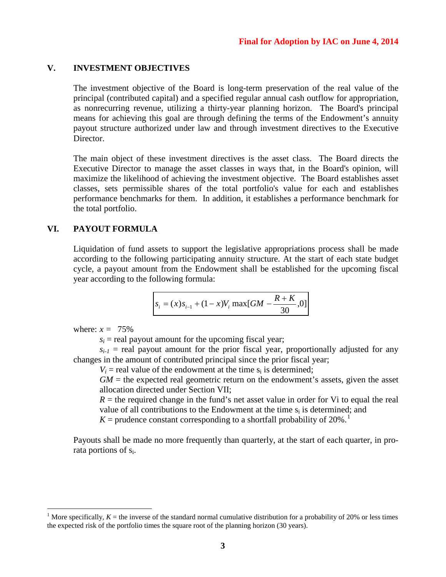### **V. INVESTMENT OBJECTIVES**

The investment objective of the Board is long-term preservation of the real value of the principal (contributed capital) and a specified regular annual cash outflow for appropriation, as nonrecurring revenue, utilizing a thirty-year planning horizon. The Board's principal means for achieving this goal are through defining the terms of the Endowment's annuity payout structure authorized under law and through investment directives to the Executive Director.

The main object of these investment directives is the asset class. The Board directs the Executive Director to manage the asset classes in ways that, in the Board's opinion, will maximize the likelihood of achieving the investment objective. The Board establishes asset classes, sets permissible shares of the total portfolio's value for each and establishes performance benchmarks for them. In addition, it establishes a performance benchmark for the total portfolio.

### **VI. PAYOUT FORMULA**

Liquidation of fund assets to support the legislative appropriations process shall be made according to the following participating annuity structure. At the start of each state budget cycle, a payout amount from the Endowment shall be established for the upcoming fiscal year according to the following formula:

$$
s_i = (x)s_{i-1} + (1-x)V_i \max[GM - \frac{R+K}{30}, 0]
$$

where:  $x = 75\%$ 

 $s_i$  = real payout amount for the upcoming fiscal year;

 $s_{i-1}$  = real payout amount for the prior fiscal year, proportionally adjusted for any changes in the amount of contributed principal since the prior fiscal year;

 $V_i$  = real value of the endowment at the time  $s_i$  is determined;

 $GM =$  the expected real geometric return on the endowment's assets, given the asset allocation directed under Section VII;

 $R =$  the required change in the fund's net asset value in order for Vi to equal the real value of all contributions to the Endowment at the time  $s_i$  is determined; and

 $K =$  prudence constant corresponding to a shortfall probability of 20%.<sup>[1](#page-30-0)</sup>

Payouts shall be made no more frequently than quarterly, at the start of each quarter, in prorata portions of si.

<span id="page-30-0"></span><sup>&</sup>lt;sup>1</sup> More specifically,  $K =$  the inverse of the standard normal cumulative distribution for a probability of 20% or less times the expected risk of the portfolio times the square root of the planning horizon (30 years).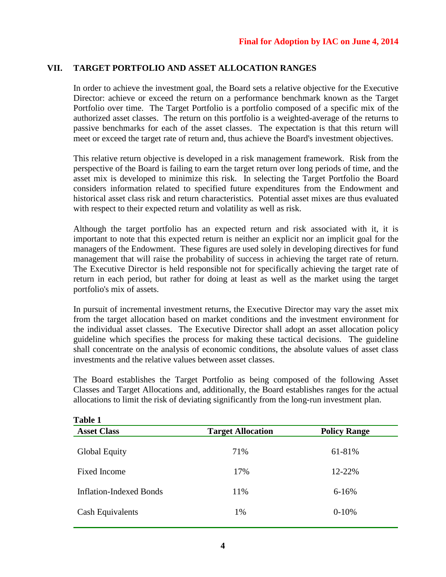## **VII. TARGET PORTFOLIO AND ASSET ALLOCATION RANGES**

In order to achieve the investment goal, the Board sets a relative objective for the Executive Director: achieve or exceed the return on a performance benchmark known as the Target Portfolio over time. The Target Portfolio is a portfolio composed of a specific mix of the authorized asset classes. The return on this portfolio is a weighted-average of the returns to passive benchmarks for each of the asset classes. The expectation is that this return will meet or exceed the target rate of return and, thus achieve the Board's investment objectives.

This relative return objective is developed in a risk management framework. Risk from the perspective of the Board is failing to earn the target return over long periods of time, and the asset mix is developed to minimize this risk. In selecting the Target Portfolio the Board considers information related to specified future expenditures from the Endowment and historical asset class risk and return characteristics. Potential asset mixes are thus evaluated with respect to their expected return and volatility as well as risk.

Although the target portfolio has an expected return and risk associated with it, it is important to note that this expected return is neither an explicit nor an implicit goal for the managers of the Endowment. These figures are used solely in developing directives for fund management that will raise the probability of success in achieving the target rate of return. The Executive Director is held responsible not for specifically achieving the target rate of return in each period, but rather for doing at least as well as the market using the target portfolio's mix of assets.

In pursuit of incremental investment returns, the Executive Director may vary the asset mix from the target allocation based on market conditions and the investment environment for the individual asset classes. The Executive Director shall adopt an asset allocation policy guideline which specifies the process for making these tactical decisions. The guideline shall concentrate on the analysis of economic conditions, the absolute values of asset class investments and the relative values between asset classes.

The Board establishes the Target Portfolio as being composed of the following Asset Classes and Target Allocations and, additionally, the Board establishes ranges for the actual allocations to limit the risk of deviating significantly from the long-run investment plan.

| Table 1                        |                          |                     |
|--------------------------------|--------------------------|---------------------|
| <b>Asset Class</b>             | <b>Target Allocation</b> | <b>Policy Range</b> |
| <b>Global Equity</b>           | 71%                      | 61-81%              |
| Fixed Income                   | 17%                      | 12-22%              |
| <b>Inflation-Indexed Bonds</b> | 11%                      | $6 - 16%$           |
| Cash Equivalents               | 1%                       | $0-10%$             |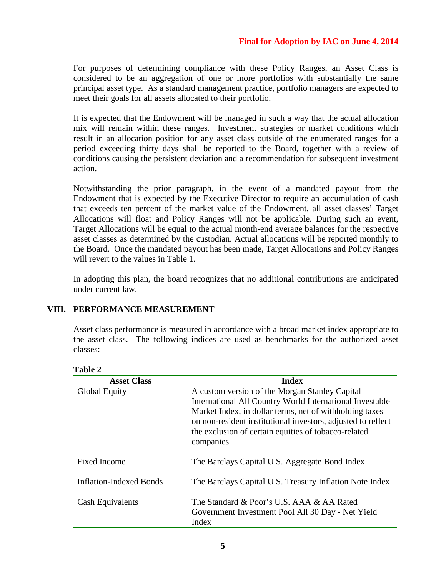For purposes of determining compliance with these Policy Ranges, an Asset Class is considered to be an aggregation of one or more portfolios with substantially the same principal asset type. As a standard management practice, portfolio managers are expected to meet their goals for all assets allocated to their portfolio.

It is expected that the Endowment will be managed in such a way that the actual allocation mix will remain within these ranges. Investment strategies or market conditions which result in an allocation position for any asset class outside of the enumerated ranges for a period exceeding thirty days shall be reported to the Board, together with a review of conditions causing the persistent deviation and a recommendation for subsequent investment action.

Notwithstanding the prior paragraph, in the event of a mandated payout from the Endowment that is expected by the Executive Director to require an accumulation of cash that exceeds ten percent of the market value of the Endowment, all asset classes' Target Allocations will float and Policy Ranges will not be applicable. During such an event, Target Allocations will be equal to the actual month-end average balances for the respective asset classes as determined by the custodian. Actual allocations will be reported monthly to the Board. Once the mandated payout has been made, Target Allocations and Policy Ranges will revert to the values in Table 1.

In adopting this plan, the board recognizes that no additional contributions are anticipated under current law.

### **VIII. PERFORMANCE MEASUREMENT**

Asset class performance is measured in accordance with a broad market index appropriate to the asset class. The following indices are used as benchmarks for the authorized asset classes:

| <b>Asset Class</b>             | <b>Index</b>                                                                                                                                                                                                                                                                                                |
|--------------------------------|-------------------------------------------------------------------------------------------------------------------------------------------------------------------------------------------------------------------------------------------------------------------------------------------------------------|
| Global Equity                  | A custom version of the Morgan Stanley Capital<br>International All Country World International Investable<br>Market Index, in dollar terms, net of withholding taxes<br>on non-resident institutional investors, adjusted to reflect<br>the exclusion of certain equities of tobacco-related<br>companies. |
| <b>Fixed Income</b>            | The Barclays Capital U.S. Aggregate Bond Index                                                                                                                                                                                                                                                              |
| <b>Inflation-Indexed Bonds</b> | The Barclays Capital U.S. Treasury Inflation Note Index.                                                                                                                                                                                                                                                    |
| Cash Equivalents               | The Standard & Poor's U.S. AAA & AA Rated<br>Government Investment Pool All 30 Day - Net Yield<br>Index                                                                                                                                                                                                     |

#### **Table 2**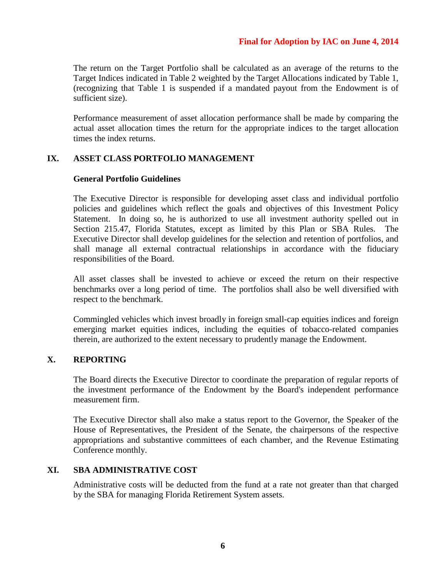The return on the Target Portfolio shall be calculated as an average of the returns to the Target Indices indicated in Table 2 weighted by the Target Allocations indicated by Table 1, (recognizing that Table 1 is suspended if a mandated payout from the Endowment is of sufficient size).

Performance measurement of asset allocation performance shall be made by comparing the actual asset allocation times the return for the appropriate indices to the target allocation times the index returns.

### **IX. ASSET CLASS PORTFOLIO MANAGEMENT**

### **General Portfolio Guidelines**

The Executive Director is responsible for developing asset class and individual portfolio policies and guidelines which reflect the goals and objectives of this Investment Policy Statement. In doing so, he is authorized to use all investment authority spelled out in Section 215.47, Florida Statutes, except as limited by this Plan or SBA Rules. The Executive Director shall develop guidelines for the selection and retention of portfolios, and shall manage all external contractual relationships in accordance with the fiduciary responsibilities of the Board.

All asset classes shall be invested to achieve or exceed the return on their respective benchmarks over a long period of time. The portfolios shall also be well diversified with respect to the benchmark.

Commingled vehicles which invest broadly in foreign small-cap equities indices and foreign emerging market equities indices, including the equities of tobacco-related companies therein, are authorized to the extent necessary to prudently manage the Endowment.

### **X. REPORTING**

The Board directs the Executive Director to coordinate the preparation of regular reports of the investment performance of the Endowment by the Board's independent performance measurement firm.

The Executive Director shall also make a status report to the Governor, the Speaker of the House of Representatives, the President of the Senate, the chairpersons of the respective appropriations and substantive committees of each chamber, and the Revenue Estimating Conference monthly.

### **XI. SBA ADMINISTRATIVE COST**

Administrative costs will be deducted from the fund at a rate not greater than that charged by the SBA for managing Florida Retirement System assets.